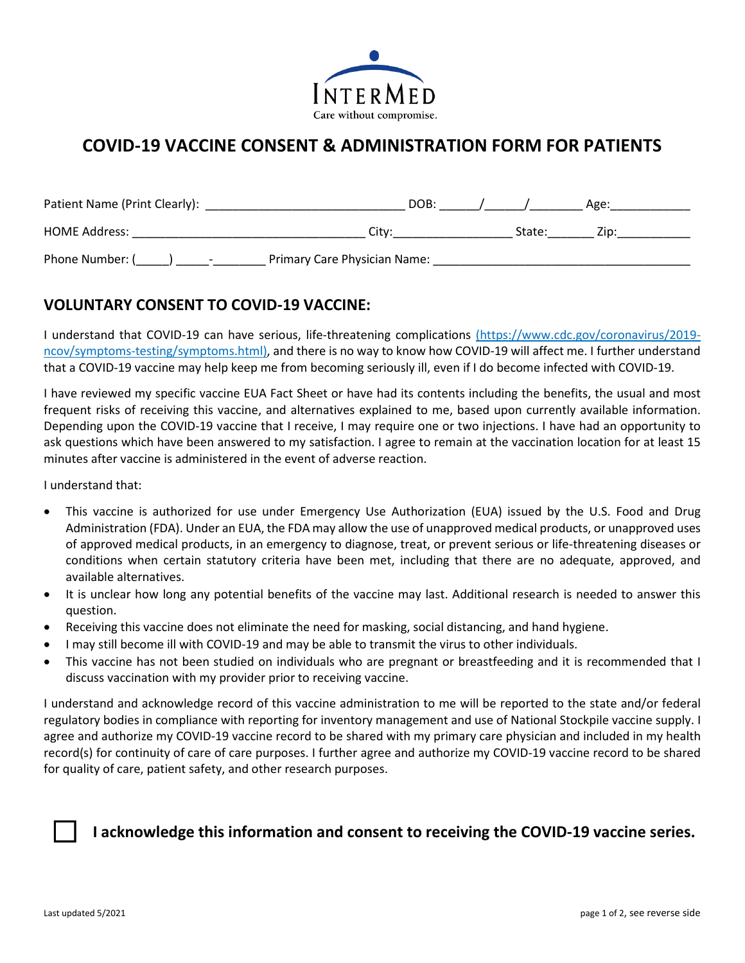## **COVID-19 VACCINE CONSENT & ADMINISTRATION FORM FOR PATIENTS**

| Patient Name (Print Clearly):               | DOB:                         |        | Age: |
|---------------------------------------------|------------------------------|--------|------|
| HQDAddress:                                 | City:                        | State: | Zip: |
| Phone Number: (<br>$\overline{\phantom{a}}$ | Primary Care Physician Name: |        |      |

## **VOLUNTARY CONSENT TO COVID-19 VACCINE:**

I understand that COVID-19 can have serious, life-threatening complications (https://www.cdc.gov/coronavirus/2019 ncov/symptoms-testing/symptoms.html), and there is no way to know how COVID-19 will affect me. I further understand that a COVID-19 vaccine may help keep me from becoming seriously ill, even if I do become infected with COVID-19.

I have reviewed my specific vaccine EUA Fact Sheet or have had its contents including the benefits, the usual and most frequent risks of receiving this vaccine, and alternatives explained to me, based upon currently available information. Depending upon the COVID-19 vaccine that I receive, I may require one or two injections. I have had an opportunity to ask questions which have been answered to my satisfaction. I agree to remain at the vaccination location for at least 15 minutes after vaccine is administered in the event of adverse reaction.

I understand that:

- This vaccine is authorized for use under Emergency Use Authorization (EUA) issued by the U.S. Food and Drug Administration (FDA). Under an EUA, the FDA may allow the use of unapproved medical products, or unapproved uses of approved medical products, in an emergency to diagnose, treat, or prevent serious or life-threatening diseases or conditions when certain statutory criteria have been met, including that there are no adequate, approved, and available alternatives.
- It is unclear how long any potential benefits of the vaccine may last. Additional research is needed to answer this question.
- Receiving this vaccine does not eliminate the need for masking, social distancing, and hand hygiene.
- I may still become ill with COVID-19 and may be able to transmit the virus to other individuals.
- This vaccine has not been studied on individuals who are pregnant or breastfeeding and it is recommended that I discuss vaccination with my provider prior to receiving vaccine.

I understand and acknowledge record of this vaccine administration to me will be reported to the state and/or federal regulatory bodies in compliance with reporting for inventory management and use of National Stockpile vaccine supply. I agree and authorize my COVID-19 vaccine record to be shared with my primary care physician and included in my health record(s) for continuity of care of care purposes. I further agree and authorize my COVID-19 vaccine record to be shared for quality of care, patient safety, and other research purposes.



## ☐ **I acknowledge this information and consent to receiving the COVID-19 vaccine series.**